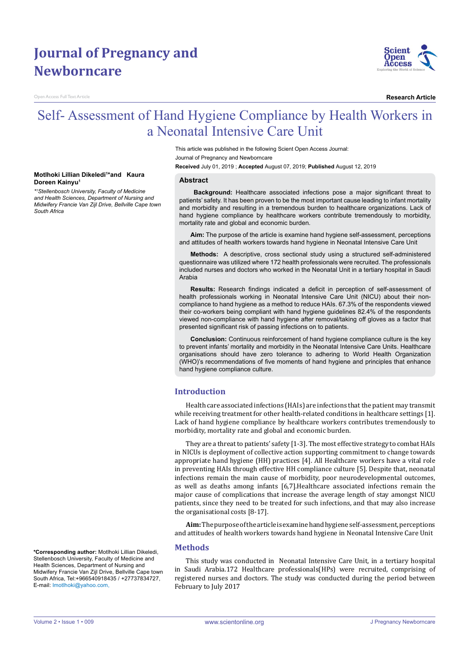# **Journal of Pregnancy and Newborncare**

Open Access Full Text Article

**Doreen Kainyu1**

*South Africa* 

**Motlhoki Lillian Dikeledi1 \*and Kaura** 

*\*1 Stellenbosch University, Faculty of Medicine and Health Sciences, Department of Nursing and Midwifery Francie Van Zijl Drive, Bellville Cape town* 



**Research Article**

# Self- Assessment of Hand Hygiene Compliance by Health Workers in a Neonatal Intensive Care Unit

This article was published in the following Scient Open Access Journal: Journal of Pregnancy and Newborncare

**Received** July 01, 2019 ; **Accepted** August 07, 2019; **Published** August 12, 2019

#### **Abstract**

 **Background:** Healthcare associated infections pose a major significant threat to patients' safety. It has been proven to be the most important cause leading to infant mortality and morbidity and resulting in a tremendous burden to healthcare organizations. Lack of hand hygiene compliance by healthcare workers contribute tremendously to morbidity, mortality rate and global and economic burden.

**Aim:** The purpose of the article is examine hand hygiene self-assessment, perceptions and attitudes of health workers towards hand hygiene in Neonatal Intensive Care Unit

**Methods:** A descriptive, cross sectional study using a structured self-administered questionnaire was utilized where 172 health professionals were recruited. The professionals included nurses and doctors who worked in the Neonatal Unit in a tertiary hospital in Saudi Arabia

**Results:** Research findings indicated a deficit in perception of self-assessment of health professionals working in Neonatal Intensive Care Unit (NICU) about their noncompliance to hand hygiene as a method to reduce HAIs. 67.3% of the respondents viewed their co-workers being compliant with hand hygiene guidelines 82.4% of the respondents viewed non-compliance with hand hygiene after removal/taking off gloves as a factor that presented significant risk of passing infections on to patients.

**Conclusion:** Continuous reinforcement of hand hygiene compliance culture is the key to prevent infants' mortality and morbidity in the Neonatal Intensive Care Units. Healthcare organisations should have zero tolerance to adhering to World Health Organization (WHO)'s recommendations of five moments of hand hygiene and principles that enhance hand hygiene compliance culture.

# **Introduction**

Health care associated infections (HAIs) are infections that the patient may transmit while receiving treatment for other health-related conditions in healthcare settings [1]. Lack of hand hygiene compliance by healthcare workers contributes tremendously to morbidity, mortality rate and global and economic burden.

They are a threat to patients' safety [1-3]. The most effective strategy to combat HAIs in NICUs is deployment of collective action supporting commitment to change towards appropriate hand hygiene (HH) practices [4]. All Healthcare workers have a vital role in preventing HAIs through effective HH compliance culture [5]. Despite that, neonatal infections remain the main cause of morbidity, poor neurodevelopmental outcomes, as well as deaths among infants [6,7].Healthcare associated infections remain the major cause of complications that increase the average length of stay amongst NICU patients, since they need to be treated for such infections, and that may also increase the organisational costs [8-17].

**Aim:** The purpose of the article is examine hand hygiene self-assessment, perceptions and attitudes of health workers towards hand hygiene in Neonatal Intensive Care Unit

#### **Methods**

This study was conducted in Neonatal Intensive Care Unit, in a tertiary hospital in Saudi Arabia.172 Healthcare professionals(HPs) were recruited, comprising of registered nurses and doctors. The study was conducted during the period between February to July 2017

**\*Corresponding author:** Motlhoki Lillian Dikeledi, Stellenbosch University, Faculty of Medicine and Health Sciences, Department of Nursing and Midwifery Francie Van Zijl Drive, Bellville Cape town South Africa, Tel:+966540918435 / +27737834727, E-mail: lmotlhoki@yahoo.com,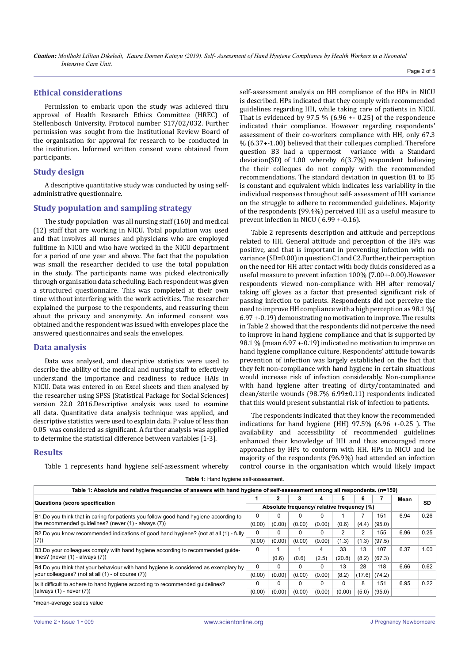## **Ethical considerations**

Permission to embark upon the study was achieved thru approval of Health Research Ethics Committee (HREC) of Stellenbosch University. Protocol number S17/02/032. Further permission was sought from the Institutional Review Board of the organisation for approval for research to be conducted in the institution. Informed written consent were obtained from participants.

## **Study design**

A descriptive quantitative study was conducted by using selfadministrative questionnaire.

## **Study population and sampling strategy**

The study population was all nursing staff (160) and medical (12) staff that are working in NICU. Total population was used and that involves all nurses and physicians who are employed fulltime in NICU and who have worked in the NICU department for a period of one year and above. The fact that the population was small the researcher decided to use the total population in the study. The participants name was picked electronically through organisation data scheduling. Each respondent was given a structured questionnaire. This was completed at their own time without interfering with the work activities. The researcher explained the purpose to the respondents, and reassuring them about the privacy and anonymity. An informed consent was obtained and the respondent was issued with envelopes place the answered questionnaires and seals the envelopes.

#### **Data analysis**

Data was analysed, and descriptive statistics were used to describe the ability of the medical and nursing staff to effectively understand the importance and readiness to reduce HAIs in NICU. Data was entered in on Excel sheets and then analysed by the researcher using SPSS (Statistical Package for Social Sciences) version 22.0 2016.Descriptive analysis was used to examine all data. Quantitative data analysis technique was applied, and descriptive statistics were used to explain data. P value of less than 0.05 was considered as significant. A further analysis was applied to determine the statistical difference between variables [1-3].

#### **Results**

Table 1 represents hand hygiene self-assessment whereby

self-assessment analysis on HH compliance of the HPs in NICU is described. HPs indicated that they comply with recommended guidelines regarding HH, while taking care of patients in NICU. That is evidenced by 97.5 %  $(6.96 + 0.25)$  of the respondence indicated their compliance. However regarding respondents' assessment of their co-workers compliance with HH, only 67.3 % (6.37+-1.00) believed that their colleques complied. Therefore question B3 had a uppermost variance with a Standard deviation(SD) of 1.00 whereby 6(3.7%) respondent believing the their colleques do not comply with the recommended recommendations. The standard deviation in question B1 to B5 is constant and equivalent which indicates less variability in the individual responses throughout self- assessment of HH variance on the struggle to adhere to recommended guidelines. Majority of the respondents (99.4%) perceived HH as a useful measure to prevent infection in NICU ( 6.99 +-0.16).

Table 2 represents description and attitude and perceptions related to HH. General attitude and perception of the HPs was positive, and that is important in preventing infection with no variance (SD=0.00) in question C1 and C2.Further, their perception on the need for HH after contact with body fluids considered as a useful measure to prevent infection 100% (7.00+-0.00).However respondents viewed non-compliance with HH after removal/ taking off gloves as a factor that presented significant risk of passing infection to patients. Respondents did not perceive the need to improve HH compliance with a high perception as 98.1 %( 6.97 +-0.19) demonstrating no motivation to improve. The results in Table 2 showed that the respondents did not perceive the need to improve in hand hygiene compliance and that is supported by 98.1 % (mean 6.97 +-0.19) indicated no motivation to improve on hand hygiene compliance culture. Respondents' attitude towards prevention of infection was largely established on the fact that they felt non-compliance with hand hygiene in certain situations would increase risk of infection considerably. Non-compliance with hand hygiene after treating of dirty/contaminated and clean/sterile wounds (98.7% 6.99±0.11) respondents indicated that this would present substantial risk of infection to patients.

The respondents indicated that they know the recommended indications for hand hygiene (HH) 97.5% (6.96 +-0.25 ). The availability and accessibility of recommended guidelines enhanced their knowledge of HH and thus encouraged more approaches by HPs to conform with HH. HPs in NICU and he majority of the respondents (96.9%) had attended an infection control course in the organisation which would likely impact

|  |  |  |  | Table 1: Hand hygiene self-assessment. |
|--|--|--|--|----------------------------------------|
|--|--|--|--|----------------------------------------|

| Table 1: Absolute and relative frequencies of answers with hand hygiene of self-assessment among all respondents. (n=159) |                                            |              |          |          |          |        |        |      |      |
|---------------------------------------------------------------------------------------------------------------------------|--------------------------------------------|--------------|----------|----------|----------|--------|--------|------|------|
|                                                                                                                           |                                            |              | 3        | 4        | 5        | n      |        | Mean |      |
| Questions (score specification                                                                                            | Absolute frequency/ relative frequency (%) |              |          |          |          |        |        |      | SD   |
| B1.Do you think that in caring for patients you follow good hand hygiene according to                                     | 0                                          |              |          |          |          |        | 151    | 6.94 | 0.26 |
| the recommended quidelines? (never (1) - always (7))                                                                      | (0.00)                                     | (0.00)       | (0.00)   | (0.00)   | (0.6)    | (4.4)  | (95.0) |      |      |
| B2.Do you know recommended indications of good hand hygiene? (not at all $(1)$ - fully                                    |                                            | 0            | $\Omega$ | 0        | 2        | 2      | 155    | 6.96 | 0.25 |
| (7)                                                                                                                       | (0.00)                                     | (0.00)       | (0.00)   | (0.00)   | (1.3)    | (1.3)  | (97.5) |      |      |
| B3.Do your colleagues comply with hand hygiene according to recommended guide-<br>lines? (never $(1)$ - always $(7)$ )    |                                            |              |          | 4        | 33       | 13     | 107    | 6.37 | 1.00 |
|                                                                                                                           |                                            | (0.6)        | (0.6)    | (2.5)    | (20.8)   | (8.2)  | (67.3) |      |      |
| B4.Do you think that your behaviour with hand hygiene is considered as exemplary by                                       |                                            | <sup>0</sup> | $\Omega$ | $\Omega$ | 13       | 28     | 118    | 6.66 | 0.62 |
| your colleagues? (not at all (1) - of course (7))                                                                         | (0.00)                                     | (0.00)       | (0.00)   | (0.00)   | (8.2)    | (17.6) | (74.2) |      |      |
| Is it difficult to adhere to hand hygiene according to recommended guidelines?                                            | O                                          | <sup>0</sup> | $\Omega$ | $\Omega$ | $\Omega$ | 8      | 151    | 6.95 | 0.22 |
| (always $(1)$ - never $(7)$ )                                                                                             | (0.00)                                     | (0.00)       | (0.00)   | (0.00)   | (0.00)   | (5.0)  | (95.0) |      |      |
|                                                                                                                           |                                            |              |          |          |          |        |        |      |      |

\*mean-average scales value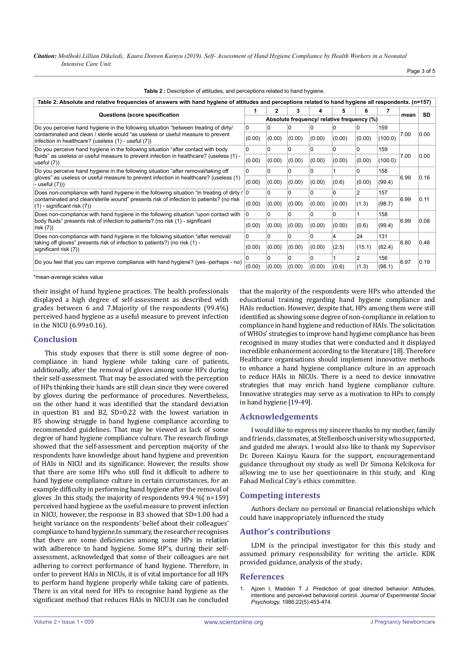*Citation: Motlhoki Lillian Dikeledi, Kaura Doreen Kainyu (2019). Self- Assessment of Hand Hygiene Compliance by Health Workers in a Neonatal Intensive Care Unit.*

| Page 3 of 5 |  |  |  |
|-------------|--|--|--|
|-------------|--|--|--|

| Table 2: Absolute and relative frequencies of answers with hand hygiene of attitudes and perceptions related to hand hygiene all respondents. (n=157)                                                                                        |        |                                            |              |              |        |                |         |      |           |
|----------------------------------------------------------------------------------------------------------------------------------------------------------------------------------------------------------------------------------------------|--------|--------------------------------------------|--------------|--------------|--------|----------------|---------|------|-----------|
| Questions (score specification                                                                                                                                                                                                               |        |                                            | 3            | 4            | 5      | 6              |         | mean | <b>SD</b> |
|                                                                                                                                                                                                                                              |        | Absolute frequency/ relative frequency (%) |              |              |        |                |         |      |           |
| Do you perceive hand hygiene in the following situation "between treating of dirty/<br>0<br>contaminated and clean / sterile would "as useless or useful measure to prevent<br>(0.00)<br>infection in healthcare? (useless (1) - useful (7)) |        | 0                                          | 0            | n            |        | 0              | 159     | 7.00 | 0.00      |
|                                                                                                                                                                                                                                              |        | (0.00)                                     | (0.00)       | (0.00)       | (0.00) | (0.00)         | (100.0) |      |           |
| Do you perceive hand hygiene in the following situation "after contact with body<br>$\Omega$<br>fluids" as useless or useful measure to prevent infection in healthcare? (useless (1) -<br>(0.00)<br>useful (7))                             |        | $\Omega$                                   | $\Omega$     | $\Omega$     | 0      | 0              | 159     | 7.00 | 0.00      |
|                                                                                                                                                                                                                                              |        | (0.00)                                     | (0.00)       | (0.00)       | (0.00) | (0.00)         | (100.0) |      |           |
| Do you perceive hand hygiene in the following situation "after removal/taking off                                                                                                                                                            |        | $\Omega$                                   | 0            | $\Omega$     |        | 0              | 158     |      |           |
| gloves" as useless or useful measure to prevent infection in healthcare? (useless (1)<br>- useful (7)))                                                                                                                                      | (0.00) | (0.00)                                     | (0.00)       | (0.00)       | (0.6)  | (0.00)         | (99.4)  | 6.99 | 0.16      |
| Does non-compliance with hand hygiene in the following situation "in treating of dirty /  0<br>contaminated and clean/sterile wound" presents risk of infection to patients? (no risk<br>$(1)$ - significant risk $(7)$ )                    |        | $\Omega$                                   | <sup>0</sup> | $\Omega$     |        | 2              | 157     |      | 0.11      |
|                                                                                                                                                                                                                                              |        | (0.00)                                     | (0.00)       | (0.00)       | (0.00) | (1.3)          | (98.7)  | 6.99 |           |
| Does non-compliance with hand hygiene in the following situation "upon contact with<br>body fluids" presents risk of infection to patients? (no risk (1) - significant<br>risk(7)                                                            |        | $\Omega$                                   | 0            | 0            | 0      |                | 158     | 6.99 | 0.08      |
|                                                                                                                                                                                                                                              |        | (0.00)                                     | (0.00)       | (0.00)       | (0.00) | (0.6)          | (99.4)  |      |           |
| Does non-compliance with hand hygiene in the following situation "after removal/                                                                                                                                                             |        | $\Omega$                                   | $\Omega$     | $\Omega$     | 4      | 24             | 131     |      |           |
| taking off gloves" presents risk of infection to patients?) (no risk (1) -<br>significant risk (7))                                                                                                                                          | (0.00) | (0.00)                                     | (0.00)       | (0.00)       | (2.5)  | (15.1)         | (82.4)  | 6.80 | 0.46      |
|                                                                                                                                                                                                                                              |        | U                                          | <sup>0</sup> | <sup>0</sup> |        | $\overline{2}$ | 156     |      | 0.19      |
| Do you feel that you can improve compliance with hand hygiene? (yes -perhaps - no)                                                                                                                                                           | (0.00) | (0.00)                                     | (0.00)       | (0.00)       | (0.6)  | (1.3)          | (98.1)  | 6.97 |           |

| Table 2 : Description of attitudes, and perceptions related to hand hygiene. |  |  |
|------------------------------------------------------------------------------|--|--|
|------------------------------------------------------------------------------|--|--|

\*mean-average scales value

their insight of hand hygiene practices. The health professionals displayed a high degree of self-assessment as described with grades between 6 and 7.Majority of the respondents (99.4%) perceived hand hygiene as a useful measure to prevent infection in the NICU (6.99±0.16).

#### **Conclusion**

This study exposes that there is still some degree of noncompliance in hand hygiene while taking care of patients, additionally, after the removal of gloves among some HPs during their self-assessment. That may be associated with the perception of HPs thinking their hands are still clean since they were covered by gloves during the performance of procedures. Nevertheless, on the other hand it was identified that the standard deviation in question B1 and B2, SD=0.22 with the lowest variation in B5 showing struggle in hand hygiene compliance according to recommended guidelines. That may be viewed as lack of some degree of hand hygiene compliance culture. The research findings showed that the self-assessment and perception majority of the respondents have knowledge about hand hygiene and prevention of HAIs in NICU and its significance. However, the results show that there are some HPs who still find it difficult to adhere to hand hygiene compliance culture in certain circumstances, for an example difficulty in performing hand hygiene after the removal of gloves .In this study, the majority of respondents 99.4 %( n=159) perceived hand hygiene as the useful measure to prevent infection in NICU, however, the response in B3 showed that SD=1.00 had a height variance on the respondents' belief about their colleagues' compliance to hand hygiene.In summary, the researcher recognises that there are some deficiencies among some HPs in relation with adherence to hand hygiene. Some HP's, during their selfassessment, acknowledged that some of their colleagues are not adhering to correct performance of hand hygiene. Therefore, in order to prevent HAIs in NICUs, it is of vital importance for all HPs to perform hand hygiene properly while taking care of patients. There is an vital need for HPs to recognise hand hygiene as the significant method that reduces HAIs in NICU.It can be concluded

that the majority of the respondents were HPs who attended the educational training regarding hand hygiene compliance and HAIs reduction. However, despite that, HPs among them were still identified as showing some degree of non-compliance in relation to compliance in hand hygiene and reduction of HAIs. The solicitation of WHOs' strategies to improve hand hygiene compliance has been recognised in many studies that were conducted and it displayed incredible enhancement according to the literature [18]. Therefore Healthcare organisations should implement innovative methods to enhance a hand hygiene compliance culture in an approach to reduce HAIs in NICUs. There is a need to device innovative strategies that may enrich hand hygiene compliance culture. Innovative strategies may serve as a motivation to HPs to comply in hand hygiene [19-49].

#### **Acknowledgements**

I would like to express my sincere thanks to my mother, family and friends, classmates, at Stellenbosch university who supported, and guided me always. I would also like to thank my Supervisor Dr. Doreen Kainyu Kaura for the support, encouragementand guidance throughout my study as well Dr Simona Kelcikova for allowing me to use her questionnaire in this study, and King Fahad Medical City's ethics committee.

#### **Competing interests**

Authors declare no personal or financial relationships which could have inappropriately influenced the study

#### **Author's contributions**

LDM is the principal investigator for this this study and assumed primary responsibility for writing the article. KDK provided guidance, analysis of the study**.**

#### **References**

1. [Ajzen I, Madden T J. Prediction of goal directed behavior: Attitudes,](https://www.sciencedirect.com/science/article/pii/0022103186900454)  [intentions and perceived behavioral control.](https://www.sciencedirect.com/science/article/pii/0022103186900454) *Journal of Experimental Social Psychology.* [1986;22\(5\):453-474.](https://www.sciencedirect.com/science/article/pii/0022103186900454)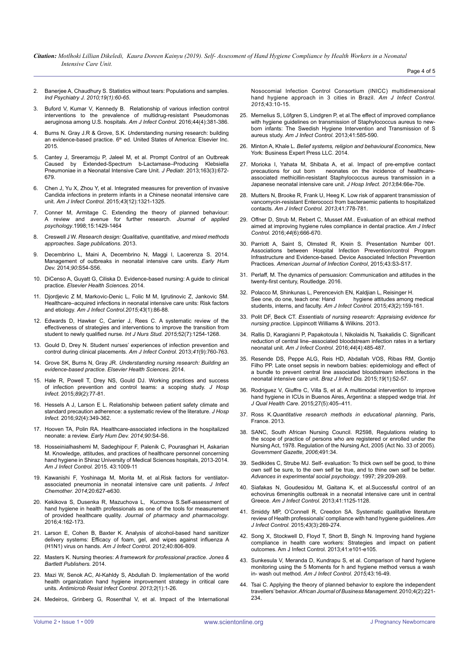*Citation: Motlhoki Lillian Dikeledi, Kaura Doreen Kainyu (2019). Self- Assessment of Hand Hygiene Compliance by Health Workers in a Neonatal Intensive Care Unit.*

Page 4 of 5

2. [Banerjee A, Chaudhury S. Statistics without tears: Populations and samples.](https://www.ncbi.nlm.nih.gov/pubmed/21694795)  *[Ind Psychiatry J. 2010;19\(1\):60-65](https://www.ncbi.nlm.nih.gov/pubmed/21694795)*.

3. [Buford V, Kumar V, Kennedy B. Relationship of various infection control](https://www.ncbi.nlm.nih.gov/pubmed/26804305)  [interventions to the prevalence of multidrug-resistant Pseudomonas](https://www.ncbi.nlm.nih.gov/pubmed/26804305)  [aeruginosa among U.S. hospitals.](https://www.ncbi.nlm.nih.gov/pubmed/26804305) *Am J Infect Control.* 2016;44(4):381-386.

- 4. Burns N. Gray J.R & Grove, S.K. *U*nderstanding nursing research: building an evidence-based practice. 6<sup>th</sup> ed. United States of America: Elsevier Inc. 2015.
- 5. [Cantey J, Sreeramoju P, Jaleel M, et al. Prompt Control of an Outbreak](https://www.ncbi.nlm.nih.gov/pubmed/23582136)  [Caused by Extended-Spectrum b-Lactamase–Producing Klebsiella](https://www.ncbi.nlm.nih.gov/pubmed/23582136)  [Pneumoniae in a Neonatal Intensive Care Unit.](https://www.ncbi.nlm.nih.gov/pubmed/23582136) *J Pediatr.* 2013;163(3):672- [679.](https://www.ncbi.nlm.nih.gov/pubmed/23582136)
- 6. [Chen J, Yu X, Zhou Y, et al. Integrated measures for prevention of invasive](https://www.ncbi.nlm.nih.gov/pubmed/26416526)  [Candida infections in preterm infants in a Chinese neonatal intensive care](https://www.ncbi.nlm.nih.gov/pubmed/26416526)  unit. *[Am J Infect Control.](https://www.ncbi.nlm.nih.gov/pubmed/26416526)* 2015;*43*(12):1321-1325.
- 7. [Conner M, Armitage C. Extending the theory of planned behaviour:](https://onlinelibrary.wiley.com/doi/abs/10.1111/j.1559-1816.1998.tb01685.x)  [A review and avenue for further research.](https://onlinelibrary.wiley.com/doi/abs/10.1111/j.1559-1816.1998.tb01685.x) *Journal of applied psychology*[.1998;15:1429-1464](https://onlinelibrary.wiley.com/doi/abs/10.1111/j.1559-1816.1998.tb01685.x)
- 8. Creswell J W. *[Research design: Qualitative, quantitative, and mixed methods](file:///C:\Users\admin\Downloads\Creswell-ResearchDesign.pdf)  approaches*. *[Sage publications.](file:///C:\Users\admin\Downloads\Creswell-ResearchDesign.pdf)* 2013.
- 9. [Decembrino L, Maini A, Decembrino N, Maggi I, Lacerenza S. 2014.](https://www.ncbi.nlm.nih.gov/pubmed/24709461)  [Management of outbreaks in neonatal intensive care units.](https://www.ncbi.nlm.nih.gov/pubmed/24709461) *Early Hum Dev.* 2014;*90*[:S54-S56.](https://www.ncbi.nlm.nih.gov/pubmed/24709461)
- 10. DiCenso A, Guyatt G, Ciliska D. Evidence-based nursing: A guide to clinical practice. *Elsevier Health Sciences.* 2014.
- 11. [Djordjevic Z M, Markovic-Denic L, Folic M M, Igrutinovic Z, Jankovic SM.](https://www.ncbi.nlm.nih.gov/pubmed/25564130)  [Healthcare–acquired infections in neonatal intensive care units: Risk factors](https://www.ncbi.nlm.nih.gov/pubmed/25564130)  and etiology. *[Am J Infect Control.2015;43](https://www.ncbi.nlm.nih.gov/pubmed/25564130)*(1):86-88.
- 12. [Edwards D, Hawker C, Carrier J, Rees C. A systematic review of the](https://www.ncbi.nlm.nih.gov/pubmed/26001854)  [effectiveness of strategies and interventions to improve the transition from](https://www.ncbi.nlm.nih.gov/pubmed/26001854)  [student to newly qualified nurse.](https://www.ncbi.nlm.nih.gov/pubmed/26001854) *Int J Nurs Stud. 2015;*52(7):1254-1268.
- 13. [Gould D, Drey N. Student nurses' experiences of infection prevention and](https://www.ncbi.nlm.nih.gov/pubmed/23993761)  [control during clinical placements.](https://www.ncbi.nlm.nih.gov/pubmed/23993761) *Am J Infect Control.* 2013;*41*(9):760-763.
- 14. Grove SK, Burns N, Gray JR. *Understanding nursing research: Building an evidence-based practice*. *Elsevier Health Sciences.* 2014.
- 15. [Hale R, Powell T, Drey NS, Gould DJ. Working practices and success](https://www.ncbi.nlm.nih.gov/pubmed/25549828)  [of infection prevention and control teams: a scoping study.](https://www.ncbi.nlm.nih.gov/pubmed/25549828) *J Hosp Infect.* 2015;*89*[\(2\):77-81.](https://www.ncbi.nlm.nih.gov/pubmed/25549828)
- 16. [Hessels A J, Larson E L. Relationship between patient safety climate and](https://www.ncbi.nlm.nih.gov/pubmed/26549480)  [standard precaution adherence: a systematic review of the literature.](https://www.ncbi.nlm.nih.gov/pubmed/26549480) *J Hosp Infect.* 2016;*92*[\(4\):349-362.](https://www.ncbi.nlm.nih.gov/pubmed/26549480)
- 17. [Hooven TA, Polin RA. Healthcare-associated infections in the hospitalized](https://www.ncbi.nlm.nih.gov/pubmed/24709456)  neonate: a review. *[Early Hum Dev. 2014;90](https://www.ncbi.nlm.nih.gov/pubmed/24709456)*:S4-S6.
- 18. [Hosseinialhashemi M, Sadeghipour F, Palenik C, Pourasghari H, Askarian](https://www.ncbi.nlm.nih.gov/pubmed/26116331)  [M. Knowledge, attitudes, and practices of healthcare personnel concerning](https://www.ncbi.nlm.nih.gov/pubmed/26116331)  [hand hygiene in Shiraz University of Medical Sciences hospitals, 2013-2014.](https://www.ncbi.nlm.nih.gov/pubmed/26116331)  *[Am J Infect Control.](https://www.ncbi.nlm.nih.gov/pubmed/26116331)* 2015. 43:1009-11
- 19. [Kawanishi F, Yoshinaga M, Morita M, et al.Risk factors for ventilator](https://www.ncbi.nlm.nih.gov/pubmed/25000829)[associated pneumonia in neonatal intensive care unit patients.](https://www.ncbi.nlm.nih.gov/pubmed/25000829) *J Infect [Chemother. 2014;](https://www.ncbi.nlm.nih.gov/pubmed/25000829)*20:627-e630.
- 20. [Kekikova S, Dusenka R, Mazuchova L, Kucmova S.Self-assessment of](http://www.davidpublisher.org/Public/uploads/Contribute/56ceaaaa7ab41.pdf)  [hand hygiene in health professionals as one of the tools for measurement](http://www.davidpublisher.org/Public/uploads/Contribute/56ceaaaa7ab41.pdf)  of provided healthcare quality. *[Journal of pharmacy and pharmacology](http://www.davidpublisher.org/Public/uploads/Contribute/56ceaaaa7ab41.pdf)*. [2016;4:162-173.](http://www.davidpublisher.org/Public/uploads/Contribute/56ceaaaa7ab41.pdf)
- 21. [Larson E, Cohen B, Baxter K. Analysis of alcohol-based hand sanitizer](https://www.ncbi.nlm.nih.gov/pubmed/22325728)  [delivery systems: Efficacy of foam, gel, and wipes against influenza A](https://www.ncbi.nlm.nih.gov/pubmed/22325728)  [\(H1N1\) virus on hands.](https://www.ncbi.nlm.nih.gov/pubmed/22325728) *Am J Infect Control.* 2012;40:806-809.
- 22. Masters K. Nursing theories: *A framework for professional practice*. *Jones & Bartlett Publishers.* 2014.
- 23. [Mazi W, Senok AC, Al-Kahldy S, Abdullah D. Implementation of the world](https://www.ncbi.nlm.nih.gov/pubmed/23673017)  [health organization hand hygiene improvement strategy in critical care](https://www.ncbi.nlm.nih.gov/pubmed/23673017)  units. *[Antimicrob Resist Infect Control. 2013;2](https://www.ncbi.nlm.nih.gov/pubmed/23673017)*(1):1-26.
- 24. [Medeiros, Grinberg G, Rosenthal V, et al. Impact of the International](https://www.ncbi.nlm.nih.gov/pubmed/25564118)

[Nosocomial Infection Control Consortium \(INICC\) multidimensional](https://www.ncbi.nlm.nih.gov/pubmed/25564118)  [hand hygiene approach in 3 cities in Brazil.](https://www.ncbi.nlm.nih.gov/pubmed/25564118) *Am J Infect Control. 2015;*[43:10-15.](https://www.ncbi.nlm.nih.gov/pubmed/25564118)

- 25. [Mernelius S, Löfgren S, Lindgren P, et al.The effect of improved compliance](https://www.ncbi.nlm.nih.gov/pubmed/23352076)  [with hygiene guidelines on transmission of Staphylococcus aureus to new](https://www.ncbi.nlm.nih.gov/pubmed/23352076)[born infants: The Swedish Hygiene Intervention and Transmission of S](https://www.ncbi.nlm.nih.gov/pubmed/23352076)  aureus study. *[Am J Infect Control.](https://www.ncbi.nlm.nih.gov/pubmed/23352076)* 2013;41:585-590.
- 26. Minton A, Khale L. *Belief systems, religion and behavioural Economics*, New York: Business Expert Press LLC. 2014.
- 27. [Morioka I, Yahata M, Shibata A, et al. Impact of pre-emptive contact](https://www.ncbi.nlm.nih.gov/pubmed/23561425)  [precautions for out born neonates on the incidence of healthcare](https://www.ncbi.nlm.nih.gov/pubmed/23561425)[associated methicillin-resistant Staphylococcus aureus transmission in a](https://www.ncbi.nlm.nih.gov/pubmed/23561425)  [Japanese neonatal intensive care unit.](https://www.ncbi.nlm.nih.gov/pubmed/23561425) *J Hosp Infect. 2013;*84:66e-70e.
- 28. [Mutters N, Brooke R, Frank U, Heeg K. Low risk of apparent transmission of](https://www.ncbi.nlm.nih.gov/pubmed/23453393)  [vancomycin-resistant Enterococci from bacteraemic patients to hospitalized](https://www.ncbi.nlm.nih.gov/pubmed/23453393)  contacts. *[Am J Infect Control. 2013;](https://www.ncbi.nlm.nih.gov/pubmed/23453393)*41:778-781.
- 29. Offner D, Strub M, Rebert C, Musset AM. Evaluation of an ethical method [aimed at improving hygiene rules compliance in dental practice.](https://www.ncbi.nlm.nih.gov/pubmed/26905791) *Am J Infect Control.* 2016;*44*[\(6\):666-670.](https://www.ncbi.nlm.nih.gov/pubmed/26905791)
- 30. [Parriott A, Saint S, Olmsted R, Krein S. Presentation Number 001.](https://www.ajicjournal.org/article/S0196-6553(15)00250-3/fulltext)  [Associations between Hospital Infection Prevention/control Program](https://www.ajicjournal.org/article/S0196-6553(15)00250-3/fulltext)  [Infrastructure and Evidence-based. Device Associated Infection Prevention](https://www.ajicjournal.org/article/S0196-6553(15)00250-3/fulltext)  Practices. *[American Journal of Infection Control](https://www.ajicjournal.org/article/S0196-6553(15)00250-3/fulltext)*, 2015;43:S3-S17.
- 31. Perlaff, M. The dynamics of persuasion: Communication and attitudes in the twenty-first century, Routledge. 2016.
- 32. [Polacco M, Shinkunas L, Perencevich EN, Kaldjian L, Reisinger H.](https://www.ncbi.nlm.nih.gov/pubmed/25637116)<br>See one, do one, teach one: Hand hydiene attitudes amond hygiene attitudes among medical [students, interns, and faculty.](https://www.ncbi.nlm.nih.gov/pubmed/25637116) *Am J Infect Control.* 2015;*43*(2):159-161.
- 33. Polit DF, Beck CT. *Essentials of nursing research: Appraising evidence for nursing practice*. Lippincott Williams & Wilkins. 2013.
- 34. [Rallis D, Karagianni P, Papakotoula I, Nikolaidis N, Tsakalidis C. Significant](https://www.ncbi.nlm.nih.gov/pubmed/26717871)  [reduction of central line–associated bloodstream infection rates in a tertiary](https://www.ncbi.nlm.nih.gov/pubmed/26717871)  neonatal unit. *[Am J Infect Control.](https://www.ncbi.nlm.nih.gov/pubmed/26717871)* 2016;*44*(4):485-487.
- 35. [Resende DS, Peppe ALG, Reis HD, Abdallah VOS, Ribas RM, Gontijo](https://www.ncbi.nlm.nih.gov/pubmed/25523073)  [Filho PP. Late onset sepsis in newborn babies: epidemiology and effect of](https://www.ncbi.nlm.nih.gov/pubmed/25523073)  [a bundle to prevent central line associated bloodstream infections in the](https://www.ncbi.nlm.nih.gov/pubmed/25523073)  [neonatal intensive care unit.](https://www.ncbi.nlm.nih.gov/pubmed/25523073) *Braz J Infect Dis.* 2015;*19*(1):52-57.
- 36. [Rodriguez V, Giuffre C, Villa S, et al. A multimodal intervention to improve](https://www.ncbi.nlm.nih.gov/pubmed/26346932)  [hand hygiene in ICUs in Buenos Aires, Argentina: a stepped wedge trial.](https://www.ncbi.nlm.nih.gov/pubmed/26346932) *Int J Qual Health Care.* [2015;27\(5\):405–411.](https://www.ncbi.nlm.nih.gov/pubmed/26346932)
- 37. Ross K.*Quantitative research methods in educational planning*, Paris, France. 2013.
- 38. SANC, South African Nursing Council. R2598, Regulations relating to the scope of practice of persons who are registered or enrolled under the Nursing Act, 1978. Regulation of the Nursing Act, 2005 (Act No. 33 of 2005). *Government Gazette, 2006;*491:34.
- 39. [Sedikides C, Strube MJ. Self- evaluation: To thick own self be good, to thine](http://www.southampton.ac.uk/~crsi/Sedikides_Strube.pdf)  [own self be sure, to the own self be true, and to thine own self be better.](http://www.southampton.ac.uk/~crsi/Sedikides_Strube.pdf)  *[Advances in experimental social psychology](http://www.southampton.ac.uk/~crsi/Sedikides_Strube.pdf)*. 1997; 29:209-269.
- 40. [Siafakas N, Goudesidou M, Gaitana K, et al.Successful control of an](https://www.ncbi.nlm.nih.gov/pubmed/23706831)  [echovirus 6meningitis outbreak in a neonatal intensive care unit in central](https://www.ncbi.nlm.nih.gov/pubmed/23706831)  Greece*[. Am J Infect Control.](https://www.ncbi.nlm.nih.gov/pubmed/23706831)* 2013;41:1125-1128.
- 41. [Smiddy MP, O'Connell R, Creedon SA. Systematic qualitative literature](https://www.ncbi.nlm.nih.gov/pubmed/25728153)  [review of Health professionals' compliance with hand hygiene guidelines.](https://www.ncbi.nlm.nih.gov/pubmed/25728153) *Am [J Infect Control.](https://www.ncbi.nlm.nih.gov/pubmed/25728153)* 2015;*43*(3):269-274.
- 42. [Song X, Stockwell D, Floyd T, Short B, Singh N. Improving hand hygiene](https://www.ncbi.nlm.nih.gov/pubmed/23643451)  [compliance in health care workers: Strategies and impact on patient](https://www.ncbi.nlm.nih.gov/pubmed/23643451)  [outcomes. Am J Infect Control. 2013;41:e101-e105.](https://www.ncbi.nlm.nih.gov/pubmed/23643451)
- 43. [Sunkesula V, Meranda D, Kundrapu S, et al. Comparison of hand hygiene](https://www.ncbi.nlm.nih.gov/pubmed/25564119)  [monitoring using the 5 Moments for h and hygiene method versus a wash](https://www.ncbi.nlm.nih.gov/pubmed/25564119)  in- wash out method. *[Am J Infect Control. 2015;](https://www.ncbi.nlm.nih.gov/pubmed/25564119)*43:16-49.
- 44. [Tsai C. Applying the theory of planned behavior to explore the independent](http://www.academicjournals.org/app/webroot/article/article1380703855_Tsai.pdf)  travellers' behavior. *[African Journal of Business Management](http://www.academicjournals.org/app/webroot/article/article1380703855_Tsai.pdf)*. 2010;4(2):221- [234.](http://www.academicjournals.org/app/webroot/article/article1380703855_Tsai.pdf)